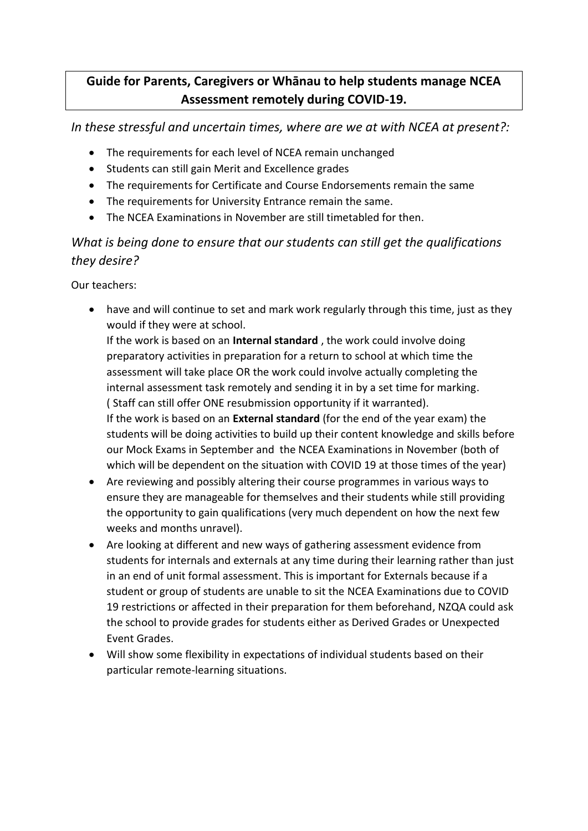## **Guide for Parents, Caregivers or Whānau to help students manage NCEA Assessment remotely during COVID-19.**

*In these stressful and uncertain times, where are we at with NCEA at present?:*

- The requirements for each level of NCEA remain unchanged
- Students can still gain Merit and Excellence grades
- The requirements for Certificate and Course Endorsements remain the same
- The requirements for University Entrance remain the same.
- The NCEA Examinations in November are still timetabled for then.

## *What is being done to ensure that our students can still get the qualifications they desire?*

Our teachers:

• have and will continue to set and mark work regularly through this time, just as they would if they were at school.

If the work is based on an **Internal standard** , the work could involve doing preparatory activities in preparation for a return to school at which time the assessment will take place OR the work could involve actually completing the internal assessment task remotely and sending it in by a set time for marking. ( Staff can still offer ONE resubmission opportunity if it warranted). If the work is based on an **External standard** (for the end of the year exam) the students will be doing activities to build up their content knowledge and skills before our Mock Exams in September and the NCEA Examinations in November (both of which will be dependent on the situation with COVID 19 at those times of the year)

- Are reviewing and possibly altering their course programmes in various ways to ensure they are manageable for themselves and their students while still providing the opportunity to gain qualifications (very much dependent on how the next few weeks and months unravel).
- Are looking at different and new ways of gathering assessment evidence from students for internals and externals at any time during their learning rather than just in an end of unit formal assessment. This is important for Externals because if a student or group of students are unable to sit the NCEA Examinations due to COVID 19 restrictions or affected in their preparation for them beforehand, NZQA could ask the school to provide grades for students either as Derived Grades or Unexpected Event Grades.
- Will show some flexibility in expectations of individual students based on their particular remote-learning situations.